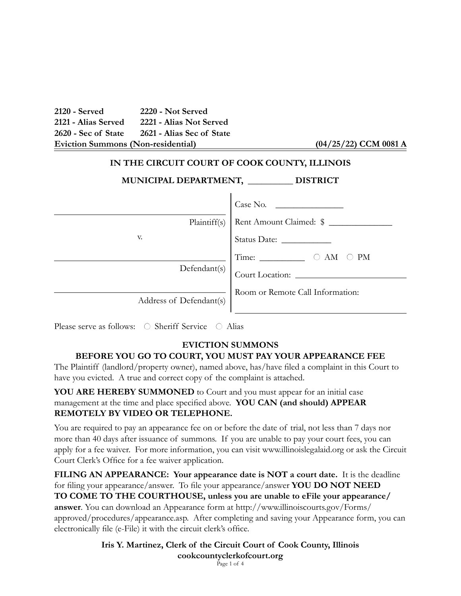**2120 - Served 2220 - Not Served 2121 - Alias Served 2221 - Alias Not Served 2620 - Sec of State 2621 - Alias Sec of State Eviction Summons (Non-residential)** 

## **IN THE CIRCUIT COURT OF COOK COUNTY, ILLINOIS**

| MUNICIPAL DEPARTMENT, | <b>DISTRICT</b> |
|-----------------------|-----------------|
|-----------------------|-----------------|

| IEN 1, | <b>DISTI</b> |
|--------|--------------|
|        |              |
|        |              |

|                         | Case No.                         |
|-------------------------|----------------------------------|
| Plaintiff(s)            | Rent Amount Claimed: \$          |
| V.                      |                                  |
| Defendant(s)            | PM<br>ΑM                         |
|                         | Court Location:                  |
| Address of Defendant(s) | Room or Remote Call Information: |

Please serve as follows:  $\bigcirc$  Sheriff Service  $\bigcirc$  Alias

### **EVICTION SUMMONS BEFORE YOU GO TO COURT, YOU MUST PAY YOUR APPEARANCE FEE**

The Plaintiff (landlord/property owner), named above, has/have filed a complaint in this Court to have you evicted. A true and correct copy of the complaint is attached.

**YOU ARE HEREBY SUMMONED** to Court and you must appear for an initial case management at the time and place specified above. **YOU CAN (and should) APPEAR REMOTELY BY VIDEO OR TELEPHONE.**

You are required to pay an appearance fee on or before the date of trial, not less than 7 days nor more than 40 days after issuance of summons. If you are unable to pay your court fees, you can apply for a fee waiver. For more information, you can visit www.illinoislegalaid.org or ask the Circuit Court Clerk's Office for a fee waiver application.

**FILING AN APPEARANCE: Your appearance date is NOT a court date.** It is the deadline for filing your appearance/answer. To file your appearance/answer **YOU DO NOT NEED TO COME TO THE COURTHOUSE, unless you are unable to eFile your appearance/ answer**. You can download an Appearance form at http://www.illinoiscourts.gov/Forms/ approved/procedures/appearance.asp. After completing and saving your Appearance form, you can electronically file (e-File) it with the circuit clerk's office.

> **Iris Y. Martinez, Clerk of the Circuit Court of Cook County, Illinois cookcountyclerkofcourt.org** Page 1 of 4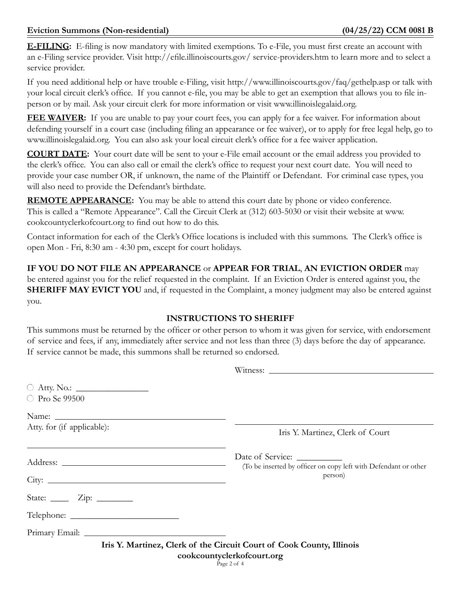**E-FILING:** E-filing is now mandatory with limited exemptions. To e-File, you must first create an account with an e-Filing service provider. Visit http://efile.illinoiscourts.gov/ service-providers.htm to learn more and to select a service provider.

If you need additional help or have trouble e-Filing, visit http://www.illinoiscourts.gov/faq/gethelp.asp or talk with your local circuit clerk's office. If you cannot e-file, you may be able to get an exemption that allows you to file inperson or by mail. Ask your circuit clerk for more information or visit www.illinoislegalaid.org.

**FEE WAIVER:** If you are unable to pay your court fees, you can apply for a fee waiver. For information about defending yourself in a court case (including filing an appearance or fee waiver), or to apply for free legal help, go to www.illinoislegalaid.org. You can also ask your local circuit clerk's office for a fee waiver application.

**COURT DATE:** Your court date will be sent to your e-File email account or the email address you provided to the clerk's office. You can also call or email the clerk's office to request your next court date. You will need to provide your case number OR, if unknown, the name of the Plaintiff or Defendant. For criminal case types, you will also need to provide the Defendant's birthdate.

**REMOTE APPEARANCE:** You may be able to attend this court date by phone or video conference. This is called a "Remote Appearance". Call the Circuit Clerk at (312) 603-5030 or visit their website at www. cookcountyclerkofcourt.org to find out how to do this.

Contact information for each of the Clerk's Office locations is included with this summons. The Clerk's office is open Mon - Fri, 8:30 am - 4:30 pm, except for court holidays.

**IF YOU DO NOT FILE AN APPEARANCE** or **APPEAR FOR TRIAL**, **AN EVICTION ORDER** may be entered against you for the relief requested in the complaint. If an Eviction Order is entered against you, the **SHERIFF MAY EVICT YOU** and, if requested in the Complaint, a money judgment may also be entered against you.

# **INSTRUCTIONS TO SHERIFF**

This summons must be returned by the officer or other person to whom it was given for service, with endorsement of service and fees, if any, immediately after service and not less than three (3) days before the day of appearance. If service cannot be made, this summons shall be returned so endorsed.

| ○ Pro Se 99500                                |                                                                                                                    |
|-----------------------------------------------|--------------------------------------------------------------------------------------------------------------------|
|                                               |                                                                                                                    |
| Atty. for (if applicable):                    | Iris Y. Martinez, Clerk of Court                                                                                   |
|                                               | Date of Service:<br>(To be inserted by officer on copy left with Defendant or other<br>person)                     |
|                                               |                                                                                                                    |
| State: $\frac{\text{Zip: } }{ \text{Lip: } }$ |                                                                                                                    |
|                                               |                                                                                                                    |
|                                               |                                                                                                                    |
|                                               | Iris Y. Martinez, Clerk of the Circuit Court of Cook County, Illinois<br>cookcountyclerkofcourt.org<br>Page 2 of 4 |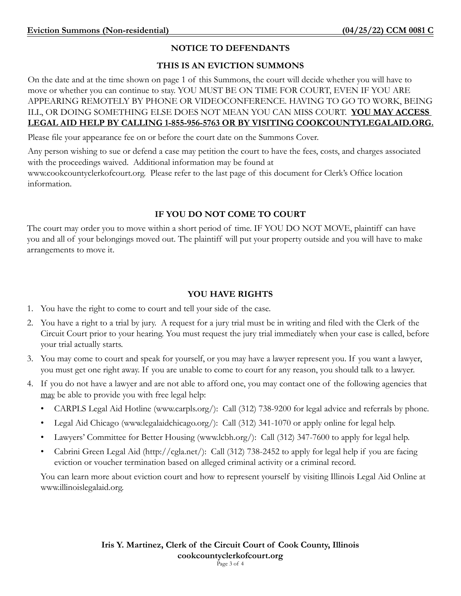## **NOTICE TO DEFENDANTS**

### **THIS IS AN EVICTION SUMMONS**

On the date and at the time shown on page 1 of this Summons, the court will decide whether you will have to move or whether you can continue to stay. YOU MUST BE ON TIME FOR COURT, EVEN IF YOU ARE APPEARING REMOTELY BY PHONE OR VIDEOCONFERENCE. HAVING TO GO TO WORK, BEING ILL, OR DOING SOMETHING ELSE DOES NOT MEAN YOU CAN MISS COURT. **YOU MAY ACCESS LEGAL AID HELP BY CALLING 1-855-956-5763 OR BY VISITING COOKCOUNTYLEGALAID.ORG.**

Please file your appearance fee on or before the court date on the Summons Cover.

Any person wishing to sue or defend a case may petition the court to have the fees, costs, and charges associated with the proceedings waived. Additional information may be found at [www.cookcountyclerkofcourt.org](http://www.cookcountyclerkofcourt.org). Please refer to the last page of this document for Clerk's Office location information.

## **IF YOU DO NOT COME TO COURT**

The court may order you to move within a short period of time. IF YOU DO NOT MOVE, plaintiff can have you and all of your belongings moved out. The plaintiff will put your property outside and you will have to make arrangements to move it.

## **YOU HAVE RIGHTS**

- 1. You have the right to come to court and tell your side of the case.
- 2. You have a right to a trial by jury. A request for a jury trial must be in writing and filed with the Clerk of the Circuit Court prior to your hearing. You must request the jury trial immediately when your case is called, before your trial actually starts.
- 3. You may come to court and speak for yourself, or you may have a lawyer represent you. If you want a lawyer, you must get one right away. If you are unable to come to court for any reason, you should talk to a lawyer.
- 4. If you do not have a lawyer and are not able to afford one, you may contact one of the following agencies that may be able to provide you with free legal help:
	- CARPLS Legal Aid Hotline [\(www.carpls.org/\)](http://www.carpls.org/): Call (312) 738-9200 for legal advice and referrals by phone.
	- Legal Aid Chicago ([www.legalaidchicago.org/](http://www.lafchicago.org/)): Call (312) 341-1070 or apply online for legal help.
	- Lawyers' Committee for Better Housing [\(www.lcbh.org/\)](http://www.lcbh.org/): Call (312) 347-7600 to apply for legal help.
	- Cabrini Green Legal Aid [\(http://cgla.net/](http://cgla.net/)): Call (312) 738-2452 to apply for legal help if you are facing eviction or voucher termination based on alleged criminal activity or a criminal record.

You can learn more about eviction court and how to represent yourself by visiting Illinois Legal Aid Online at [www.illinoislegalaid.org.](http://www.illinoislegalaid.org)

> **Iris Y. Martinez, Clerk of the Circuit Court of Cook County, Illinois cookcountyclerkofcourt.org** Page 3 of 4